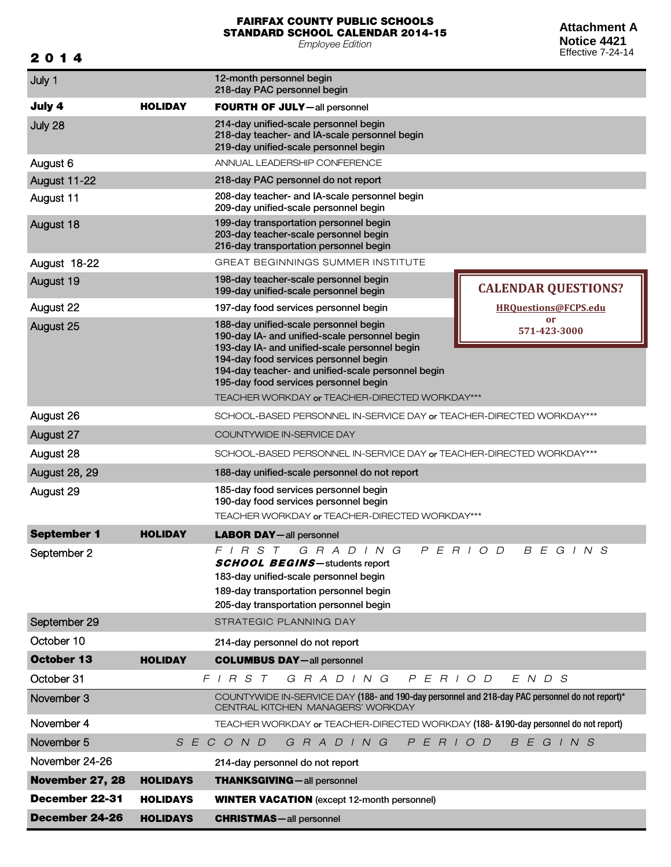## FAIRFAX COUNTY PUBLIC SCHOOLS STANDARD SCHOOL CALENDAR 2014-15

*Employee Edition*

201 4

**Attachment A Notice 4421** Effective 7-24-14

| July 1               |                 | 12-month personnel begin<br>218-day PAC personnel begin                                                                                                                                                                                                                         |                            |
|----------------------|-----------------|---------------------------------------------------------------------------------------------------------------------------------------------------------------------------------------------------------------------------------------------------------------------------------|----------------------------|
| July 4               | <b>HOLIDAY</b>  | <b>FOURTH OF JULY</b> -all personnel                                                                                                                                                                                                                                            |                            |
| July 28              |                 | 214-day unified-scale personnel begin<br>218-day teacher- and IA-scale personnel begin<br>219-day unified-scale personnel begin                                                                                                                                                 |                            |
| August 6             |                 | ANNUAL LEADERSHIP CONFERENCE                                                                                                                                                                                                                                                    |                            |
| August 11-22         |                 | 218-day PAC personnel do not report                                                                                                                                                                                                                                             |                            |
| August 11            |                 | 208-day teacher- and IA-scale personnel begin<br>209-day unified-scale personnel begin                                                                                                                                                                                          |                            |
| August 18            |                 | 199-day transportation personnel begin<br>203-day teacher-scale personnel begin<br>216-day transportation personnel begin                                                                                                                                                       |                            |
| August 18-22         |                 | <b>GREAT BEGINNINGS SUMMER INSTITUTE</b>                                                                                                                                                                                                                                        |                            |
| August 19            |                 | 198-day teacher-scale personnel begin<br>199-day unified-scale personnel begin                                                                                                                                                                                                  | <b>CALENDAR QUESTIONS?</b> |
| August 22            |                 | 197-day food services personnel begin                                                                                                                                                                                                                                           | HROuestions@FCPS.edu       |
| August 25            |                 | 188-day unified-scale personnel begin<br>190-day IA- and unified-scale personnel begin<br>193-day IA- and unified-scale personnel begin<br>194-day food services personnel begin<br>194-day teacher- and unified-scale personnel begin<br>195-day food services personnel begin | or<br>571-423-3000         |
|                      |                 | TEACHER WORKDAY or TEACHER-DIRECTED WORKDAY***                                                                                                                                                                                                                                  |                            |
| August 26            |                 | SCHOOL-BASED PERSONNEL IN-SERVICE DAY or TEACHER-DIRECTED WORKDAY***                                                                                                                                                                                                            |                            |
| August 27            |                 | COUNTYWIDE IN-SERVICE DAY                                                                                                                                                                                                                                                       |                            |
| August 28            |                 | SCHOOL-BASED PERSONNEL IN-SERVICE DAY or TEACHER-DIRECTED WORKDAY***                                                                                                                                                                                                            |                            |
| <b>August 28, 29</b> |                 | 188-day unified-scale personnel do not report                                                                                                                                                                                                                                   |                            |
| August 29            |                 | 185-day food services personnel begin<br>190-day food services personnel begin<br>TEACHER WORKDAY or TEACHER-DIRECTED WORKDAY***                                                                                                                                                |                            |
| <b>September 1</b>   | <b>HOLIDAY</b>  | <b>LABOR DAY-all personnel</b>                                                                                                                                                                                                                                                  |                            |
| September 2          |                 | P E R I O D<br>$F$   R S T<br>G R A D I N G<br><b>SCHOOL BEGINS-</b> students report<br>183-day unified-scale personnel begin<br>189-day transportation personnel begin<br>205-day transportation personnel begin                                                               | B E G I N S                |
| September 29         |                 | STRATEGIC PLANNING DAY                                                                                                                                                                                                                                                          |                            |
| October 10           |                 | 214-day personnel do not report                                                                                                                                                                                                                                                 |                            |
| <b>October 13</b>    | <b>HOLIDAY</b>  | <b>COLUMBUS DAY-all personnel</b>                                                                                                                                                                                                                                               |                            |
| October 31           |                 | $F$   R S T<br>P E R I O D<br>G R A D I N G                                                                                                                                                                                                                                     | $E$ N D S                  |
| November 3           |                 | COUNTYWIDE IN-SERVICE DAY (188- and 190-day personnel and 218-day PAC personnel do not report)*<br>CENTRAL KITCHEN MANAGERS' WORKDAY                                                                                                                                            |                            |
| November 4           |                 | TEACHER WORKDAY or TEACHER-DIRECTED WORKDAY (188- &190-day personnel do not report)                                                                                                                                                                                             |                            |
| November 5           |                 | G R A D I N G<br>P E R I O D<br>S E C O N D                                                                                                                                                                                                                                     | BEGINS                     |
| November 24-26       |                 | 214-day personnel do not report                                                                                                                                                                                                                                                 |                            |
| November 27, 28      | <b>HOLIDAYS</b> | <b>THANKSGIVING</b> - all personnel                                                                                                                                                                                                                                             |                            |
| December 22-31       | <b>HOLIDAYS</b> | <b>WINTER VACATION</b> (except 12-month personnel)                                                                                                                                                                                                                              |                            |
| December 24-26       | <b>HOLIDAYS</b> | <b>CHRISTMAS</b> - all personnel                                                                                                                                                                                                                                                |                            |